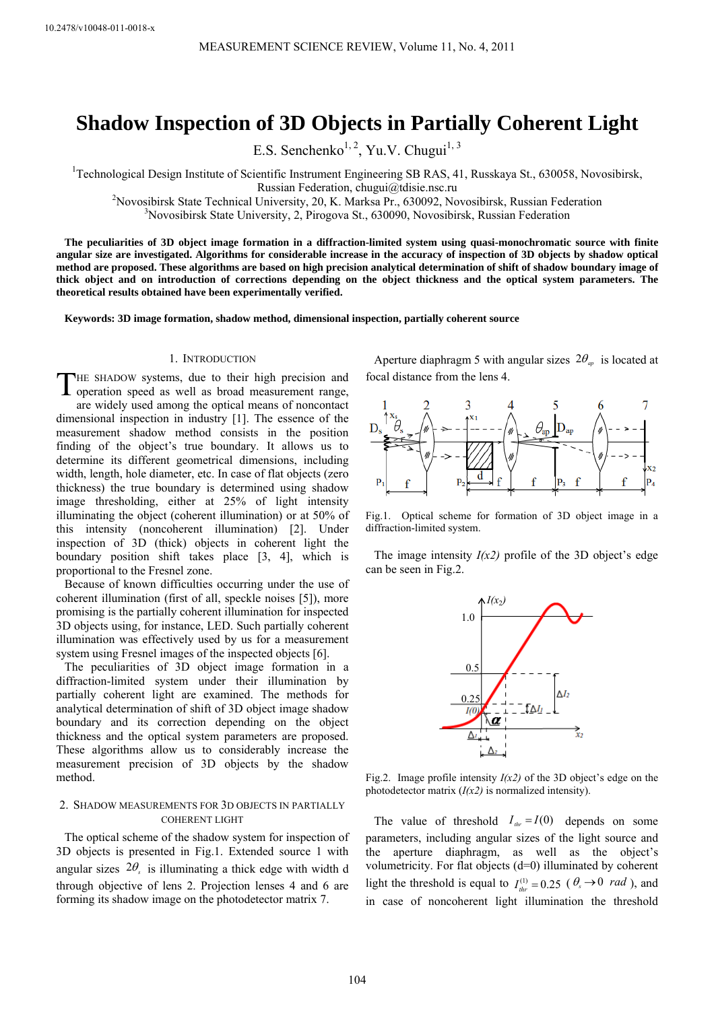# **Shadow Inspection of 3D Objects in Partially Coherent Light**

E.S. Senchenko<sup>1, 2</sup>, Yu.V. Chugui<sup>1, 3</sup>

<sup>1</sup>Technological Design Institute of Scientific Instrument Engineering SB RAS, 41, Russkaya St., 630058, Novosibirsk, Russian Federation, chugui@tdisie.nsc.ru<br><sup>2</sup>Nevesibirsk State Technical University, 20 K. Merkee Pr. 630002. No.

Novosibirsk State Technical University, 20, K. Marksa Pr., 630092, Novosibirsk, Russian Federation 3<br><sup>3</sup>Novosibirsk State University, 2. Birogaya St. 630000, Novosibirsk, Pussian Eederation <sup>3</sup>Novosibirsk State University, 2, Pirogova St., 630090, Novosibirsk, Russian Federation

**The peculiarities of 3D object image formation in a diffraction-limited system using quasi-monochromatic source with finite angular size are investigated. Algorithms for considerable increase in the accuracy of inspection of 3D objects by shadow optical method are proposed. These algorithms are based on high precision analytical determination of shift of shadow boundary image of thick object and on introduction of corrections depending on the object thickness and the optical system parameters. The theoretical results obtained have been experimentally verified.** 

**Keywords: 3D image formation, shadow method, dimensional inspection, partially coherent source** 

## 1. INTRODUCTION

THE SHADOW systems, due to their high precision and operation speed as well as broad measurement range, operation speed as well as broad measurement range, are widely used among the optical means of noncontact dimensional inspection in industry [1]. The essence of the measurement shadow method consists in the position finding of the object's true boundary. It allows us to determine its different geometrical dimensions, including width, length, hole diameter, etc. In case of flat objects (zero thickness) the true boundary is determined using shadow image thresholding, either at 25% of light intensity illuminating the object (coherent illumination) or at 50% of this intensity (noncoherent illumination) [2]. Under inspection of 3D (thick) objects in coherent light the boundary position shift takes place [3, 4], which is proportional to the Fresnel zone.

Because of known difficulties occurring under the use of coherent illumination (first of all, speckle noises [5]), more promising is the partially coherent illumination for inspected 3D objects using, for instance, LED. Such partially coherent illumination was effectively used by us for a measurement system using Fresnel images of the inspected objects [6].

The peculiarities of 3D object image formation in a diffraction-limited system under their illumination by partially coherent light are examined. The methods for analytical determination of shift of 3D object image shadow boundary and its correction depending on the object thickness and the optical system parameters are proposed. These algorithms allow us to considerably increase the measurement precision of 3D objects by the shadow method.

# 2. SHADOW MEASUREMENTS FOR 3D OBJECTS IN PARTIALLY COHERENT LIGHT

The optical scheme of the shadow system for inspection of 3D objects is presented in Fig.1. Extended source 1 with angular sizes  $2\theta_s$  is illuminating a thick edge with width d through objective of lens 2. Projection lenses 4 and 6 are forming its shadow image on the photodetector matrix 7.

Aperture diaphragm 5 with angular sizes  $2\theta_{ap}$  is located at focal distance from the lens 4.



Fig.1. Optical scheme for formation of 3D object image in a diffraction-limited system.

The image intensity  $I(x2)$  profile of the 3D object's edge can be seen in Fig.2.



Fig.2. Image profile intensity  $I(x2)$  of the 3D object's edge on the photodetector matrix  $(I(x2))$  is normalized intensity).

The value of threshold  $I_{\text{thr}} = I(0)$  depends on some parameters, including angular sizes of the light source and the aperture diaphragm, as well as the object's volumetricity. For flat objects (d=0) illuminated by coherent light the threshold is equal to  $I_{thr}^{(1)} = 0.25$  ( $\theta_s \rightarrow 0$  *rad*), and in case of noncoherent light illumination the threshold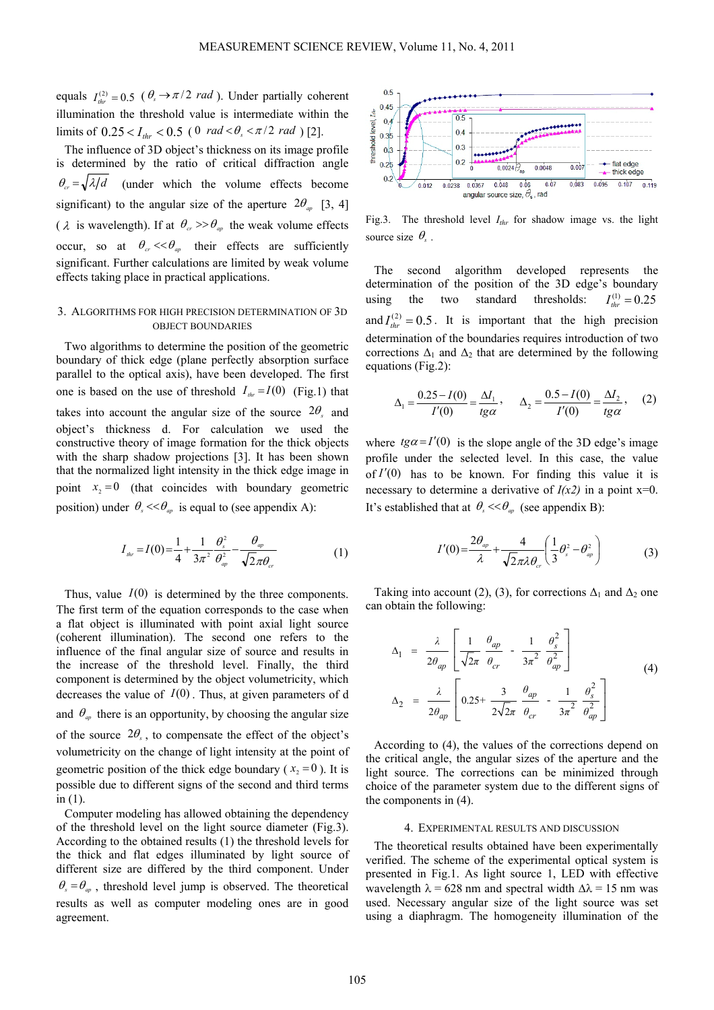equals  $I_{thr}^{(2)} = 0.5$  ( $\theta_s \rightarrow \pi/2$  *rad*). Under partially coherent illumination the threshold value is intermediate within the limits of  $0.25 < I_{thr} < 0.5$  (0  $rad < \theta_s < \pi/2$  *rad*)[2].

The influence of 3D object's thickness on its image profile is determined by the ratio of critical diffraction angle  $\theta_{\alpha} = \sqrt{\lambda/d}$  (under which the volume effects become significant) to the angular size of the aperture  $2\theta_{\alpha}$  [3, 4] ( $\lambda$  is wavelength). If at  $\theta_{cr} \gg \theta_{ap}$  the weak volume effects occur, so at  $\theta_{cr} \ll \theta_{ar}$  their effects are sufficiently significant. Further calculations are limited by weak volume effects taking place in practical applications.

# 3. ALGORITHMS FOR HIGH PRECISION DETERMINATION OF 3D OBJECT BOUNDARIES

Two algorithms to determine the position of the geometric boundary of thick edge (plane perfectly absorption surface parallel to the optical axis), have been developed. The first one is based on the use of threshold  $I_{\text{thr}} = I(0)$  (Fig.1) that takes into account the angular size of the source  $2\theta_s$  and object's thickness d. For calculation we used the constructive theory of image formation for the thick objects with the sharp shadow projections [3]. It has been shown that the normalized light intensity in the thick edge image in point  $x_2 = 0$  (that coincides with boundary geometric position) under  $\theta_s \ll \theta_m$  is equal to (see appendix A):

$$
I_{\text{thr}} = I(0) = \frac{1}{4} + \frac{1}{3\pi^2} \frac{\theta_s^2}{\theta_{\text{ap}}^2} - \frac{\theta_{\text{ap}}}{\sqrt{2\pi\theta_{\text{cr}}}}
$$
(1)

Thus, value  $I(0)$  is determined by the three components. The first term of the equation corresponds to the case when a flat object is illuminated with point axial light source (coherent illumination). The second one refers to the influence of the final angular size of source and results in the increase of the threshold level. Finally, the third component is determined by the object volumetricity, which decreases the value of  $I(0)$ . Thus, at given parameters of d and  $\theta_{ap}$  there is an opportunity, by choosing the angular size of the source  $2\theta_s$ , to compensate the effect of the object's volumetricity on the change of light intensity at the point of geometric position of the thick edge boundary ( $x<sub>2</sub> = 0$ ). It is possible due to different signs of the second and third terms in  $(1)$ .

Computer modeling has allowed obtaining the dependency of the threshold level on the light source diameter (Fig.3). According to the obtained results (1) the threshold levels for the thick and flat edges illuminated by light source of different size are differed by the third component. Under  $\theta_s = \theta_{av}$ , threshold level jump is observed. The theoretical results as well as computer modeling ones are in good agreement.



Fig.3. The threshold level  $I_{thr}$  for shadow image vs. the light source size  $\theta_{s}$ .

The second algorithm developed represents the determination of the position of the 3D edge's boundary using the two standard thresholds:  $I_{\mu}^{(1)} = 0.25$ and  $I_{thr}^{(2)} = 0.5$ . It is important that the high precision determination of the boundaries requires introduction of two corrections  $\Delta_1$  and  $\Delta_2$  that are determined by the following equations (Fig.2):

$$
\Delta_1 = \frac{0.25 - I(0)}{I'(0)} = \frac{\Delta I_1}{t g \alpha}, \qquad \Delta_2 = \frac{0.5 - I(0)}{I'(0)} = \frac{\Delta I_2}{t g \alpha}, \qquad (2)
$$

where  $t g \alpha = I'(0)$  is the slope angle of the 3D edge's image profile under the selected level. In this case, the value of  $I'(0)$  has to be known. For finding this value it is necessary to determine a derivative of  $I(x2)$  in a point  $x=0$ . It's established that at  $\theta_s \ll \theta_m$  (see appendix B):

$$
I'(0) = \frac{2\theta_{ap}}{\lambda} + \frac{4}{\sqrt{2}\pi\lambda\theta_{cr}} \left(\frac{1}{3}\theta_s^2 - \theta_{ap}^2\right)
$$
 (3)

Taking into account (2), (3), for corrections  $\Delta_1$  and  $\Delta_2$  one can obtain the following:

$$
\Delta_1 = \frac{\lambda}{2\theta_{ap}} \left[ \frac{1}{\sqrt{2\pi}} \frac{\theta_{ap}}{\theta_{cr}} - \frac{1}{3\pi^2} \frac{\theta_s^2}{\theta_{ap}^2} \right]
$$
\n
$$
\Delta_2 = \frac{\lambda}{2\theta_{ap}} \left[ 0.25 + \frac{3}{2\sqrt{2\pi}} \frac{\theta_{ap}}{\theta_{cr}} - \frac{1}{3\pi^2} \frac{\theta_s^2}{\theta_{ap}^2} \right]
$$
\n(4)

According to (4), the values of the corrections depend on the critical angle, the angular sizes of the aperture and the light source. The corrections can be minimized through choice of the parameter system due to the different signs of the components in (4).

## 4. EXPERIMENTAL RESULTS AND DISCUSSION

The theoretical results obtained have been experimentally verified. The scheme of the experimental optical system is presented in Fig.1. As light source 1, LED with effective wavelength  $\lambda$  = 628 nm and spectral width  $\Delta\lambda$  = 15 nm was used. Necessary angular size of the light source was set using a diaphragm. The homogeneity illumination of the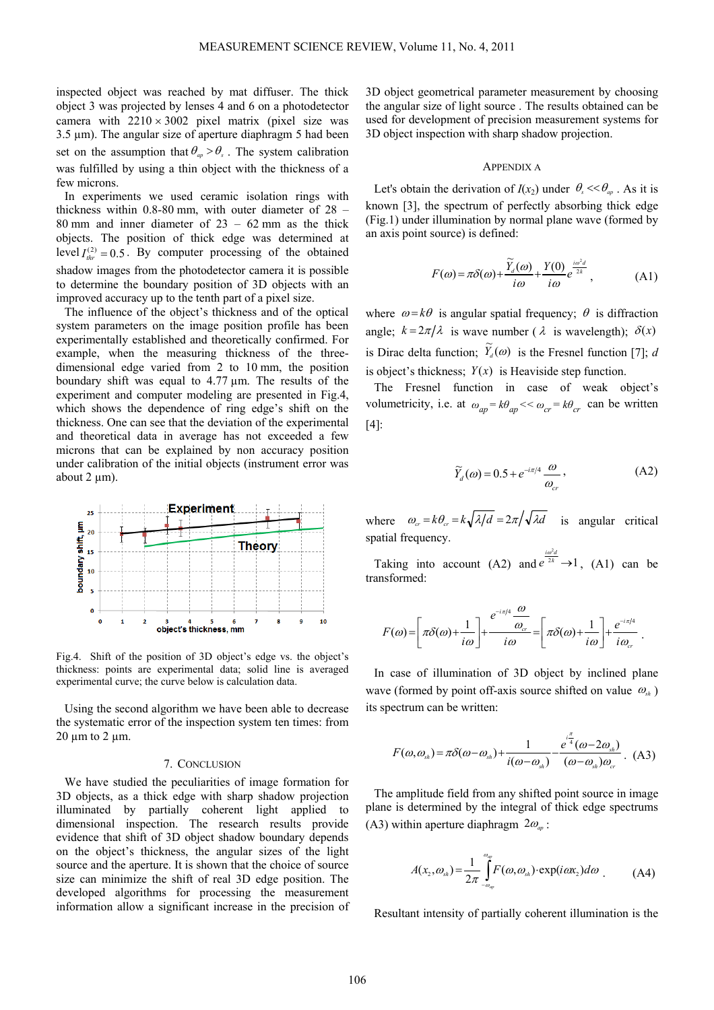inspected object was reached by mat diffuser. The thick object 3 was projected by lenses 4 and 6 on a photodetector camera with  $2210 \times 3002$  pixel matrix (pixel size was  $3.5 \mu$ m). The angular size of aperture diaphragm 5 had been set on the assumption that  $\theta_{ap} > \theta_{s}$ . The system calibration was fulfilled by using a thin object with the thickness of a few microns.

In experiments we used ceramic isolation rings with thickness within 0.8-80 mm, with outer diameter of 28 – 80 mm and inner diameter of  $23 - 62$  mm as the thick objects. The position of thick edge was determined at level  $I_{thr}^{(2)} = 0.5$ . By computer processing of the obtained shadow images from the photodetector camera it is possible to determine the boundary position of 3D objects with an improved accuracy up to the tenth part of a pixel size.

The influence of the object's thickness and of the optical system parameters on the image position profile has been experimentally established and theoretically confirmed. For example, when the measuring thickness of the threedimensional edge varied from 2 to 10 mm, the position boundary shift was equal to 4.77  $\mu$ m. The results of the experiment and computer modeling are presented in Fig.4, which shows the dependence of ring edge's shift on the thickness. One can see that the deviation of the experimental and theoretical data in average has not exceeded a few microns that can be explained by non accuracy position under calibration of the initial objects (instrument error was about  $2 \mu m$ ).



Fig.4. Shift of the position of 3D object's edge vs. the object's thickness: points are experimental data; solid line is averaged experimental curve; the curve below is calculation data.

Using the second algorithm we have been able to decrease the systematic error of the inspection system ten times: from  $20 \mu m$  to  $2 \mu m$ .

#### 7. CONCLUSION

We have studied the peculiarities of image formation for 3D objects, as a thick edge with sharp shadow projection illuminated by partially coherent light applied to dimensional inspection. The research results provide evidence that shift of 3D object shadow boundary depends on the object's thickness, the angular sizes of the light source and the aperture. It is shown that the choice of source size can minimize the shift of real 3D edge position. The developed algorithms for processing the measurement information allow a significant increase in the precision of 3D object geometrical parameter measurement by choosing the angular size of light source . The results obtained can be used for development of precision measurement systems for 3D object inspection with sharp shadow projection.

## APPENDIX A

Let's obtain the derivation of  $I(x_2)$  under  $\theta_s \ll \theta_{ap}$ . As it is known [3], the spectrum of perfectly absorbing thick edge (Fig.1) under illumination by normal plane wave (formed by an axis point source) is defined:

$$
F(\omega) = \pi \delta(\omega) + \frac{\widetilde{Y}_d(\omega)}{i\omega} + \frac{Y(0)}{i\omega} e^{\frac{i\omega^2 d}{2k}}, \tag{A1}
$$

where  $\omega = k\theta$  is angular spatial frequency;  $\theta$  is diffraction angle;  $k = 2\pi/\lambda$  is wave number ( $\lambda$  is wavelength);  $\delta(x)$ is Dirac delta function;  $\widetilde{Y}_d(\omega)$  is the Fresnel function [7]; *d* is object's thickness;  $Y(x)$  is Heaviside step function.

The Fresnel function in case of weak object's volumetricity, i.e. at  $\omega_{ap} = k\theta_{ap} \ll \omega_{cr} = k\theta_{cr}$  can be written [4]:

$$
\widetilde{Y}_d(\omega) = 0.5 + e^{-i\pi/4} \frac{\omega}{\omega_{cr}},
$$
\n(A2)

where  $\omega_{cr} = k \theta_{cr} = k \sqrt{\lambda/d} = 2\pi/\sqrt{\lambda d}$  is angular critical spatial frequency.

Taking into account (A2) and  $e^{\frac{i\omega^2 d}{2k}} \rightarrow 1$ , (A1) can be transformed:

$$
F(\omega) = \left[\pi \delta(\omega) + \frac{1}{i\omega}\right] + \frac{e^{-i\pi/4} \frac{\omega}{\omega_{cr}}}{i\omega} = \left[\pi \delta(\omega) + \frac{1}{i\omega}\right] + \frac{e^{-i\pi/4}}{i\omega_{cr}}.
$$

In case of illumination of 3D object by inclined plane wave (formed by point off-axis source shifted on value  $\omega_{ab}$ ) its spectrum can be written:

$$
F(\omega,\omega_{sh}) = \pi \delta(\omega-\omega_{sh}) + \frac{1}{i(\omega-\omega_{sh})} - \frac{e^{\frac{i\pi}{4}}(\omega-2\omega_{sh})}{(\omega-\omega_{sh})\omega_{cr}}.
$$
 (A3)

The amplitude field from any shifted point source in image plane is determined by the integral of thick edge spectrums (A3) within aperture diaphragm  $2\omega_{av}$ :

$$
A(x_2, \omega_{sh}) = \frac{1}{2\pi} \int_{-\omega_{ap}}^{\omega_{ap}} F(\omega, \omega_{sh}) \cdot \exp(i\omega x_2) d\omega
$$
 (A4)

Resultant intensity of partially coherent illumination is the